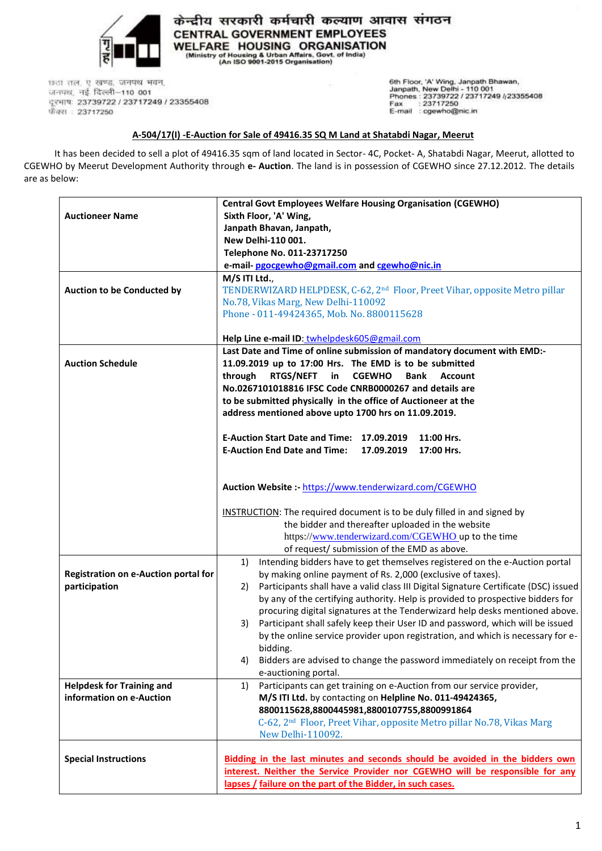

केन्द्रीय सरकारी कर्मचारी कल्याण आवास संगठन **CENTRAL GOVERNMENT EMPLOYEES** WELFARE HOUSING ORGANISATION (Ministry of Housing & Urban Affairs, Govt. of India)<br>(An ISO 9001-2015 Organisation)

छठा तल, ए खण्ड, जनपथ भवन, जनपथ, नई दिल्ली-110 001 दूरभाषः 23739722 / 23717249 / 23355408 फ़ैक्स : 23717250

6th Floor, 'A' Wing, Janpath Bhawan,<br>Janpath, New Delhi - 110 001<br>Phones : 23739722 / 23717249 /<sub>/</sub>23355408<br>Fax : 23717250<br>E-mail : cgewho@nic.in

## **A-504/17(I) -E-Auction for Sale of 49416.35 SQ M Land at Shatabdi Nagar, Meerut**

It has been decided to sell a plot of 49416.35 sqm of land located in Sector- 4C, Pocket- A, Shatabdi Nagar, Meerut, allotted to CGEWHO by Meerut Development Authority through **e- Auction**. The land is in possession of CGEWHO since 27.12.2012. The details are as below:

|                                             | <b>Central Govt Employees Welfare Housing Organisation (CGEWHO)</b>                                                                              |  |  |
|---------------------------------------------|--------------------------------------------------------------------------------------------------------------------------------------------------|--|--|
| <b>Auctioneer Name</b>                      | Sixth Floor, 'A' Wing,                                                                                                                           |  |  |
|                                             | Janpath Bhavan, Janpath,                                                                                                                         |  |  |
|                                             | New Delhi-110 001.                                                                                                                               |  |  |
|                                             | Telephone No. 011-23717250                                                                                                                       |  |  |
|                                             | e-mail-pgocgewho@gmail.com and cgewho@nic.in                                                                                                     |  |  |
|                                             | M/S ITI Ltd.,                                                                                                                                    |  |  |
| Auction to be Conducted by                  | TENDERWIZARD HELPDESK, C-62, 2 <sup>nd</sup> Floor, Preet Vihar, opposite Metro pillar                                                           |  |  |
|                                             | No.78, Vikas Marg, New Delhi-110092                                                                                                              |  |  |
|                                             | Phone - 011-49424365, Mob. No. 8800115628                                                                                                        |  |  |
|                                             |                                                                                                                                                  |  |  |
|                                             | Help Line e-mail ID: twhelpdesk605@gmail.com                                                                                                     |  |  |
|                                             | Last Date and Time of online submission of mandatory document with EMD:-                                                                         |  |  |
| <b>Auction Schedule</b>                     | 11.09.2019 up to 17:00 Hrs. The EMD is to be submitted<br>through<br><b>RTGS/NEFT</b><br>in<br><b>CGEWHO</b><br>Bank<br><b>Account</b>           |  |  |
|                                             |                                                                                                                                                  |  |  |
|                                             | No.0267101018816 IFSC Code CNRB0000267 and details are                                                                                           |  |  |
|                                             | to be submitted physically in the office of Auctioneer at the                                                                                    |  |  |
|                                             | address mentioned above upto 1700 hrs on 11.09.2019.                                                                                             |  |  |
|                                             |                                                                                                                                                  |  |  |
|                                             | E-Auction Start Date and Time: 17.09.2019<br>11:00 Hrs.                                                                                          |  |  |
|                                             | <b>E-Auction End Date and Time:</b><br>17.09.2019<br>17:00 Hrs.                                                                                  |  |  |
|                                             |                                                                                                                                                  |  |  |
|                                             |                                                                                                                                                  |  |  |
|                                             | Auction Website :- https://www.tenderwizard.com/CGEWHO                                                                                           |  |  |
|                                             |                                                                                                                                                  |  |  |
|                                             | <b>INSTRUCTION:</b> The required document is to be duly filled in and signed by                                                                  |  |  |
|                                             | the bidder and thereafter uploaded in the website                                                                                                |  |  |
|                                             | https://www.tenderwizard.com/CGEWHO up to the time                                                                                               |  |  |
|                                             | of request/ submission of the EMD as above.                                                                                                      |  |  |
|                                             | Intending bidders have to get themselves registered on the e-Auction portal<br>1)<br>by making online payment of Rs. 2,000 (exclusive of taxes). |  |  |
| <b>Registration on e-Auction portal for</b> |                                                                                                                                                  |  |  |
| participation                               | Participants shall have a valid class III Digital Signature Certificate (DSC) issued<br>2)                                                       |  |  |
|                                             | by any of the certifying authority. Help is provided to prospective bidders for                                                                  |  |  |
|                                             | procuring digital signatures at the Tenderwizard help desks mentioned above.                                                                     |  |  |
|                                             | Participant shall safely keep their User ID and password, which will be issued<br>3)                                                             |  |  |
|                                             | by the online service provider upon registration, and which is necessary for e-                                                                  |  |  |
|                                             | bidding.                                                                                                                                         |  |  |
|                                             | Bidders are advised to change the password immediately on receipt from the<br>4)                                                                 |  |  |
|                                             | e-auctioning portal.                                                                                                                             |  |  |
| <b>Helpdesk for Training and</b>            | Participants can get training on e-Auction from our service provider,<br>1)                                                                      |  |  |
| information on e-Auction                    | M/S ITI Ltd. by contacting on Helpline No. 011-49424365,                                                                                         |  |  |
|                                             | 8800115628,8800445981,8800107755,8800991864                                                                                                      |  |  |
|                                             | C-62, 2 <sup>nd</sup> Floor, Preet Vihar, opposite Metro pillar No.78, Vikas Marg                                                                |  |  |
|                                             | New Delhi-110092.                                                                                                                                |  |  |
|                                             |                                                                                                                                                  |  |  |
| <b>Special Instructions</b>                 | Bidding in the last minutes and seconds should be avoided in the bidders own                                                                     |  |  |
|                                             | interest. Neither the Service Provider nor CGEWHO will be responsible for any                                                                    |  |  |
|                                             | lapses / failure on the part of the Bidder, in such cases.                                                                                       |  |  |
|                                             |                                                                                                                                                  |  |  |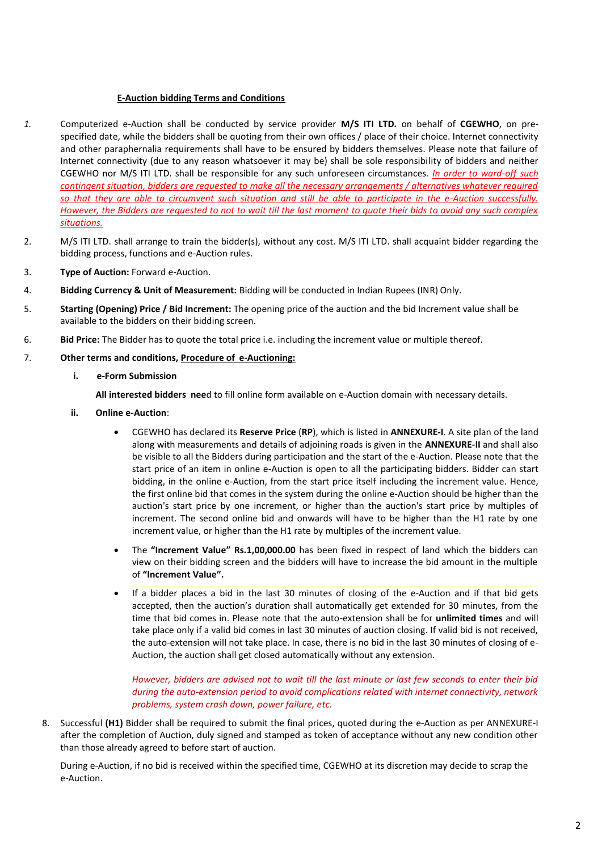## **E-Auction bidding Terms and Conditions**

- *1.* Computerized e-Auction shall be conducted by service provider **M/S ITI LTD.** on behalf of **CGEWHO**, on prespecified date, while the bidders shall be quoting from their own offices / place of their choice. Internet connectivity and other paraphernalia requirements shall have to be ensured by bidders themselves. Please note that failure of Internet connectivity (due to any reason whatsoever it may be) shall be sole responsibility of bidders and neither CGEWHO nor M/S ITI LTD. shall be responsible for any such unforeseen circumstances*. In order to ward-off such contingent situation, bidders are requested to make all the necessary arrangements / alternatives whatever required so that they are able to circumvent such situation and still be able to participate in the e-Auction successfully. However, the Bidders are requested to not to wait till the last moment to quote their bids to avoid any such complex situations.*
- 2. M/S ITI LTD. shall arrange to train the bidder(s), without any cost. M/S ITI LTD. shall acquaint bidder regarding the bidding process, functions and e-Auction rules.
- 3. **Type of Auction:** Forward e-Auction.
- 4. **Bidding Currency & Unit of Measurement:** Bidding will be conducted in Indian Rupees (INR) Only.
- 5. **Starting (Opening) Price / Bid Increment:** The opening price of the auction and the bid Increment value shall be available to the bidders on their bidding screen.
- 6. **Bid Price:** The Bidder has to quote the total price i.e. including the increment value or multiple thereof.
- 7. **Other terms and conditions, Procedure of e-Auctioning:**
	- **i. e-Form Submission**

**All interested bidders nee**d to fill online form available on e-Auction domain with necessary details.

- **ii. Online e-Auction**:
	- CGEWHO has declared its **Reserve Price** (**RP**), which is listed in **ANNEXURE-I**. A site plan of the land along with measurements and details of adjoining roads is given in the **ANNEXURE-II** and shall also be visible to all the Bidders during participation and the start of the e-Auction. Please note that the start price of an item in online e-Auction is open to all the participating bidders. Bidder can start bidding, in the online e-Auction, from the start price itself including the increment value. Hence, the first online bid that comes in the system during the online e-Auction should be higher than the auction's start price by one increment, or higher than the auction's start price by multiples of increment. The second online bid and onwards will have to be higher than the H1 rate by one increment value, or higher than the H1 rate by multiples of the increment value.
	- The **"Increment Value" Rs.1,00,000.00** has been fixed in respect of land which the bidders can view on their bidding screen and the bidders will have to increase the bid amount in the multiple of **"Increment Value".**
	- If a bidder places a bid in the last 30 minutes of closing of the e-Auction and if that bid gets accepted, then the auction's duration shall automatically get extended for 30 minutes, from the time that bid comes in. Please note that the auto-extension shall be for **unlimited times** and will take place only if a valid bid comes in last 30 minutes of auction closing. If valid bid is not received, the auto-extension will not take place. In case, there is no bid in the last 30 minutes of closing of e-Auction, the auction shall get closed automatically without any extension. •

*However, bidders are advised not to wait till the last minute or last few seconds to enter their bid during the auto-extension period to avoid complications related with internet connectivity, network problems, system crash down, power failure, etc.*

8. Successful **(H1)** Bidder shall be required to submit the final prices, quoted during the e-Auction as per ANNEXURE-I after the completion of Auction, duly signed and stamped as token of acceptance without any new condition other than those already agreed to before start of auction.

During e-Auction, if no bid is received within the specified time, CGEWHO at its discretion may decide to scrap the e-Auction.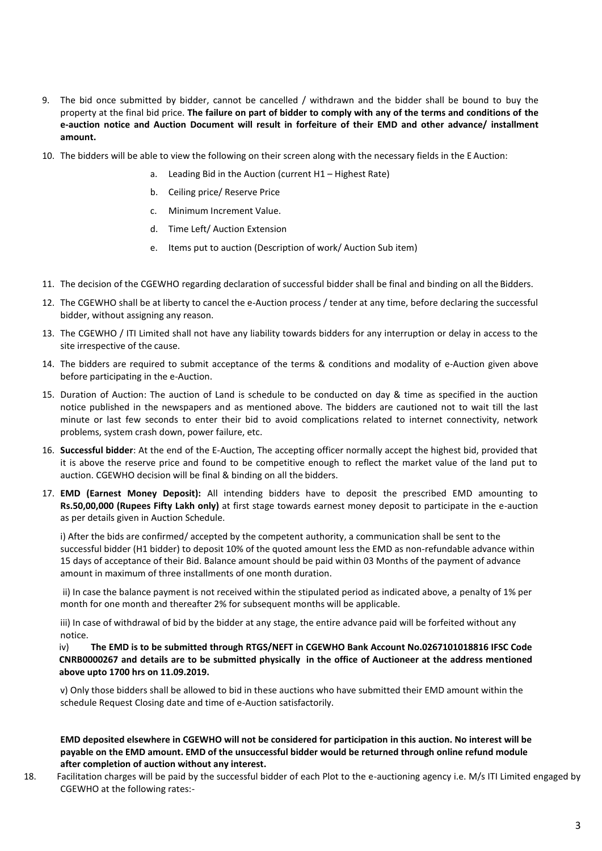- 9. The bid once submitted by bidder, cannot be cancelled / withdrawn and the bidder shall be bound to buy the property at the final bid price. **The failure on part of bidder to comply with any of the terms and conditions of the e-auction notice and Auction Document will result in forfeiture of their EMD and other advance/ installment amount.**
- 10. The bidders will be able to view the following on their screen along with the necessary fields in the E Auction:
	- a. Leading Bid in the Auction (current H1 Highest Rate)
	- b. Ceiling price/ Reserve Price
	- c. Minimum Increment Value.
	- d. Time Left/ Auction Extension
	- e. Items put to auction (Description of work/ Auction Sub item)
- 11. The decision of the CGEWHO regarding declaration of successful bidder shall be final and binding on all the Bidders.
- 12. The CGEWHO shall be at liberty to cancel the e-Auction process / tender at any time, before declaring the successful bidder, without assigning any reason.
- 13. The CGEWHO / ITI Limited shall not have any liability towards bidders for any interruption or delay in access to the site irrespective of the cause.
- 14. The bidders are required to submit acceptance of the terms & conditions and modality of e-Auction given above before participating in the e-Auction.
- 15. Duration of Auction: The auction of Land is schedule to be conducted on day & time as specified in the auction notice published in the newspapers and as mentioned above. The bidders are cautioned not to wait till the last minute or last few seconds to enter their bid to avoid complications related to internet connectivity, network problems, system crash down, power failure, etc.
- 16. **Successful bidder**: At the end of the E-Auction, The accepting officer normally accept the highest bid, provided that it is above the reserve price and found to be competitive enough to reflect the market value of the land put to auction. CGEWHO decision will be final & binding on all the bidders.
- 17. **EMD (Earnest Money Deposit):** All intending bidders have to deposit the prescribed EMD amounting to **Rs.50,00,000 (Rupees Fifty Lakh only)** at first stage towards earnest money deposit to participate in the e-auction as per details given in Auction Schedule.

i) After the bids are confirmed/ accepted by the competent authority, a communication shall be sent to the successful bidder (H1 bidder) to deposit 10% of the quoted amount less the EMD as non-refundable advance within 15 days of acceptance of their Bid. Balance amount should be paid within 03 Months of the payment of advance amount in maximum of three installments of one month duration.

ii) In case the balance payment is not received within the stipulated period as indicated above, a penalty of 1% per month for one month and thereafter 2% for subsequent months will be applicable.

iii) In case of withdrawal of bid by the bidder at any stage, the entire advance paid will be forfeited without any notice.

iv) **The EMD is to be submitted through RTGS/NEFT in CGEWHO Bank Account No.0267101018816 IFSC Code CNRB0000267 and details are to be submitted physically in the office of Auctioneer at the address mentioned above upto 1700 hrs on 11.09.2019.**

v) Only those bidders shall be allowed to bid in these auctions who have submitted their EMD amount within the schedule Request Closing date and time of e-Auction satisfactorily.

**EMD deposited elsewhere in CGEWHO will not be considered for participation in this auction. No interest will be payable on the EMD amount. EMD of the unsuccessful bidder would be returned through online refund module after completion of auction without any interest.**

18. Facilitation charges will be paid by the successful bidder of each Plot to the e-auctioning agency i.e. M/s ITI Limited engaged by CGEWHO at the following rates:-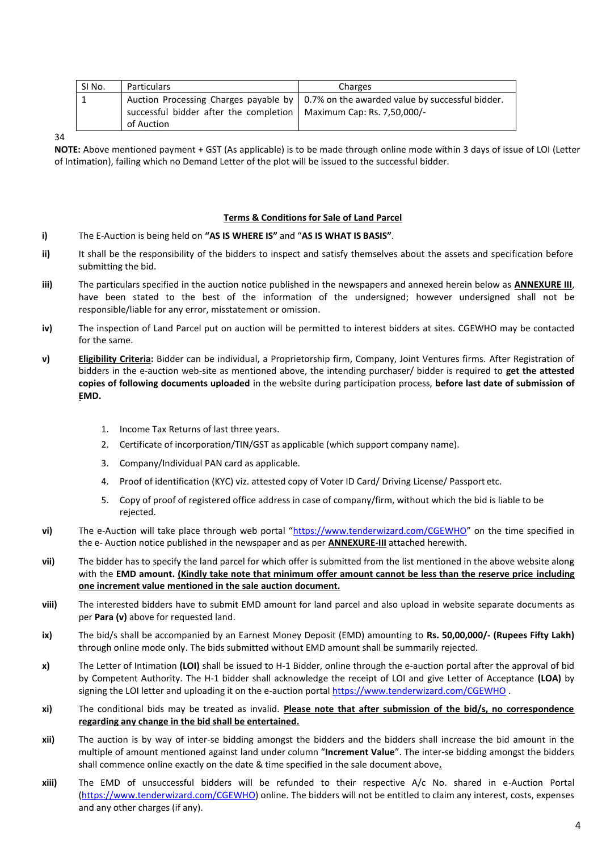| SI No. | <b>Particulars</b>                                                   | Charges                                                                                 |
|--------|----------------------------------------------------------------------|-----------------------------------------------------------------------------------------|
|        |                                                                      | Auction Processing Charges payable by   0.7% on the awarded value by successful bidder. |
|        | successful bidder after the completion   Maximum Cap: Rs. 7,50,000/- |                                                                                         |
|        | of Auction                                                           |                                                                                         |

34

**NOTE:** Above mentioned payment + GST (As applicable) is to be made through online mode within 3 days of issue of LOI (Letter of Intimation), failing which no Demand Letter of the plot will be issued to the successful bidder.

## **Terms & Conditions for Sale of Land Parcel**

- **i)** The E-Auction is being held on **"AS IS WHERE IS"** and "**AS IS WHAT IS BASIS"**.
- **ii)** It shall be the responsibility of the bidders to inspect and satisfy themselves about the assets and specification before submitting the bid.
- **iii)** The particulars specified in the auction notice published in the newspapers and annexed herein below as **ANNEXURE III**, have been stated to the best of the information of the undersigned; however undersigned shall not be responsible/liable for any error, misstatement or omission.
- **iv)** The inspection of Land Parcel put on auction will be permitted to interest bidders at sites. CGEWHO may be contacted for the same.
- **v) Eligibility Criteria:** Bidder can be individual, a Proprietorship firm, Company, Joint Ventures firms. After Registration of bidders in the e-auction web-site as mentioned above, the intending purchaser/ bidder is required to **get the attested copies of following documents uploaded** in the website during participation process, **before last date of submission of EMD.**
	- 1. Income Tax Returns of last three years.
	- 2. Certificate of incorporation/TIN/GST as applicable (which support company name).
	- 3. Company/Individual PAN card as applicable.
	- 4. Proof of identification (KYC) viz. attested copy of Voter ID Card/ Driving License/ Passport etc.
	- 5. Copy of proof of registered office address in case of company/firm, without which the bid is liable to be rejected.
- **vi)** The e-Auction will take place through web portal "https:[//ww](http://www.bankeauctions.com/)w.tenderwizard.com/CGEWHO" on the time specified in the e- Auction notice published in the newspaper and as per **ANNEXURE-III** attached herewith.
- **vii)** The bidder has to specify the land parcel for which offer is submitted from the list mentioned in the above website along with the **EMD amount. (Kindly take note that minimum offer amount cannot be less than the reserve price including one increment value mentioned in the sale auction document.**
- **viii)** The interested bidders have to submit EMD amount for land parcel and also upload in website separate documents as per **Para (v)** above for requested land.
- **ix)** The bid/s shall be accompanied by an Earnest Money Deposit (EMD) amounting to **Rs. 50,00,000/- (Rupees Fifty Lakh)** through online mode only. The bids submitted without EMD amount shall be summarily rejected.
- **x)** The Letter of Intimation **(LOI)** shall be issued to H-1 Bidder, online through the e-auction portal after the approval of bid by Competent Authority. The H-1 bidder shall acknowledge the receipt of LOI and give Letter of Acceptance **(LOA)** by signing the LOI letter and uploading it on the e-auction porta[l https://www.tenderwizard.com/CGEWHO](https://www.tenderwizard.com/AWHO).
- **xi)** The conditional bids may be treated as invalid. **Please note that after submission of the bid/s, no correspondence regarding any change in the bid shall be entertained.**
- **xii)** The auction is by way of inter-se bidding amongst the bidders and the bidders shall increase the bid amount in the multiple of amount mentioned against land under column "**Increment Value**". The inter-se bidding amongst the bidders shall commence online exactly on the date & time specified in the sale document above**.**
- **xiii)** The EMD of unsuccessful bidders will be refunded to their respective A/c No. shared in e-Auction Portal (https://www.tenderwizard.com/CGEWHO) online. The bidders will not be entitled to claim any interest, costs, expenses and any other charges (if any).